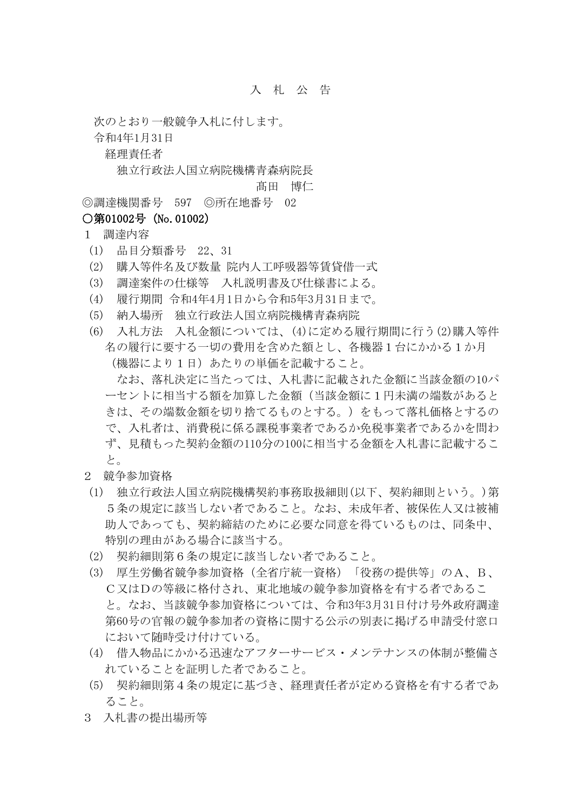## 入 札 公 告

次のとおり一般競争入札に付します。

令和4年1月31日

経理責任者

独立行政法人国立病院機構青森病院長

髙田 博仁

◎調達機関番号 597 ◎所在地番号 02

## ○第01002号 (No.01002)

## 1 調達内容

- (1) 品目分類番号 22、31
- (2) 購入等件名及び数量 院内人工呼吸器等賃貸借一式
- (3) 調達案件の仕様等 入札説明書及び仕様書による。
- (4) 履行期間 令和4年4月1日から令和5年3月31日まで。
- (5) 納入場所 独立行政法人国立病院機構青森病院
- (6) 入札方法 入札金額については、(4)に定める履行期間に行う(2)購入等件 名の履行に要する一切の費用を含めた額とし、各機器1台にかかる1か月 (機器により1日)あたりの単価を記載すること。 なお、落札決定に当たっては、入札書に記載された金額に当該金額の10パ ーセントに相当する額を加算した金額(当該金額に1円未満の端数があると きは、その端数金額を切り捨てるものとする。)をもって落札価格とするの
	- で、入札者は、消費税に係る課税事業者であるか免税事業者であるかを問わ ず、見積もった契約金額の110分の100に相当する金額を入札書に記載するこ と。
- 2 競争参加資格
- (1) 独立行政法人国立病院機構契約事務取扱細則(以下、契約細則という。)第 5条の規定に該当しない者であること。なお、未成年者、被保佐人又は被補 助人であっても、契約締結のために必要な同意を得ているものは、同条中、 特別の理由がある場合に該当する。
- (2) 契約細則第6条の規定に該当しない者であること。
- (3) 厚生労働省競争参加資格(全省庁統一資格)「役務の提供等」のA、B、 C又はDの等級に格付され、東北地域の競争参加資格を有する者であるこ と。なお、当該競争参加資格については、令和3年3月31日付け号外政府調達 第60号の官報の競争参加者の資格に関する公示の別表に掲げる申請受付窓口 において随時受け付けている。
- (4) 借入物品にかかる迅速なアフターサービス・メンテナンスの体制が整備さ れていることを証明した者であること。
- (5) 契約細則第4条の規定に基づき、経理責任者が定める資格を有する者であ ること。
- 3 入札書の提出場所等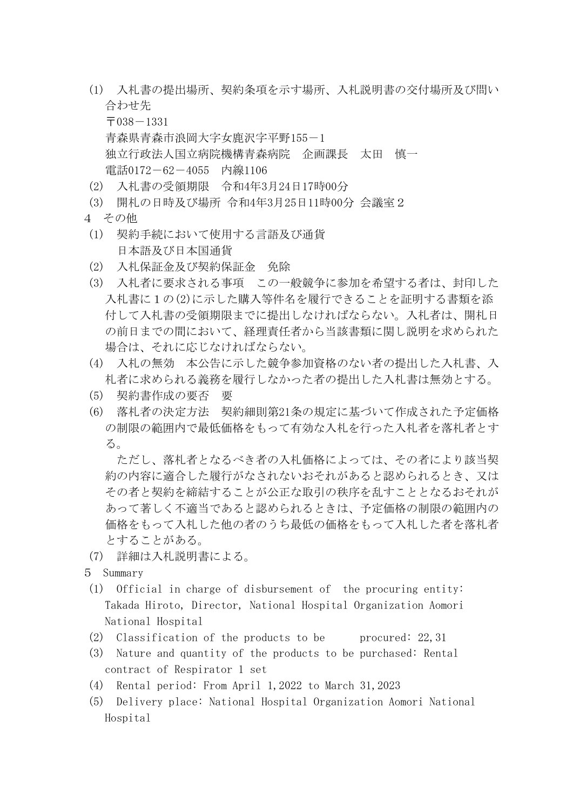(1) 入札書の提出場所、契約条項を示す場所、入札説明書の交付場所及び問い 合わせ先

 $\overline{7}038 - 1331$ 青森県青森市浪岡大字女鹿沢字平野155-1 独立行政法人国立病院機構青森病院 企画課長 太田 慎一 電話0172-62-4055 内線1106

- (2) 入札書の受領期限 令和4年3月24日17時00分
- (3) 開札の日時及び場所 令和4年3月25日11時00分 会議室2
- 4 その他
- (1) 契約手続において使用する言語及び通貨 日本語及び日本国通貨
- (2) 入札保証金及び契約保証金 免除
- (3) 入札者に要求される事項 この一般競争に参加を希望する者は、封印した 入札書に1の(2)に示した購入等件名を履行できることを証明する書類を添 付して入札書の受領期限までに提出しなければならない。入札者は、開札日 の前日までの間において、経理責任者から当該書類に関し説明を求められた 場合は、それに応じなければならない。
- (4) 入札の無効 本公告に示した競争参加資格のない者の提出した入札書、入 札者に求められる義務を履行しなかった者の提出した入札書は無効とする。
- (5) 契約書作成の要否 要
- (6) 落札者の決定方法 契約細則第21条の規定に基づいて作成された予定価格 の制限の範囲内で最低価格をもって有効な入札を行った入札者を落札者とす る。

ただし、落札者となるべき者の入札価格によっては、その者により該当契 約の内容に適合した履行がなされないおそれがあると認められるとき、又は その者と契約を締結することが公正な取引の秩序を乱すこととなるおそれが あって著しく不適当であると認められるときは、予定価格の制限の範囲内の 価格をもって入札した他の者のうち最低の価格をもって入札した者を落札者 とすることがある。

- (7) 詳細は入札説明書による。
- 5 Summary
- (1) Official in charge of disbursement of the procuring entity: Takada Hiroto, Director, National Hospital Organization Aomori National Hospital
- (2) Classification of the products to be procured:  $22,31$
- (3) Nature and quantity of the products to be purchased: Rental contract of Respirator 1 set
- (4) Rental period: From April 1,2022 to March 31,2023
- (5) Delivery place: National Hospital Organization Aomori National Hospital